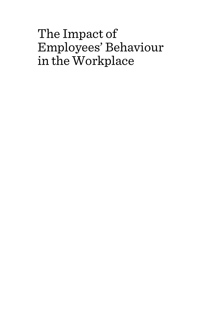# The Impact of Employees' Behaviour in the Workplace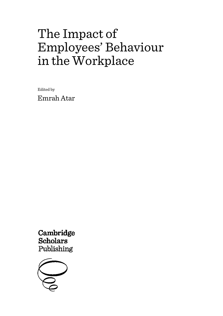# The Impact of Employees' Behaviour in the Workplace

Edited by

Emrah Atar

Cambridge **Scholars** Publishing

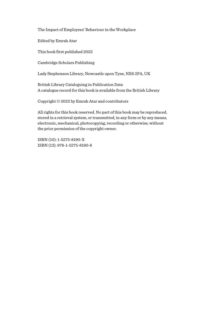The Impact of Employees' Behaviour in the Workplace

Edited by Emrah Atar

This book first published 2022

Cambridge Scholars Publishing

Lady Stephenson Library, Newcastle upon Tyne, NE6 2PA, UK

British Library Cataloguing in Publication Data A catalogue record for this book is available from the British Library

Copyright © 2022 by Emrah Atar and contributors

All rights for this book reserved. No part of this book may be reproduced, stored in a retrieval system, or transmitted, in any form or by any means, electronic, mechanical, photocopying, recording or otherwise, without the prior permission of the copyright owner.

ISBN (10): 1-5275-8190-X ISBN (13): 978-1-5275-8190-6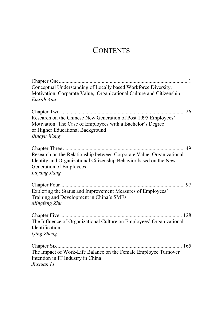# **CONTENTS**

| Conceptual Understanding of Locally based Workforce Diversity,<br>Motivation, Corparate Value, Organizational Culture and Citizenship<br>Emrah Atar                                   |
|---------------------------------------------------------------------------------------------------------------------------------------------------------------------------------------|
| 26<br>Research on the Chinese New Generation of Post 1995 Employees'<br>Motivation: The Case of Employees with a Bachelor's Degree<br>or Higher Educational Background<br>Bingyu Wang |
| Research on the Relationship between Corporate Value, Organizational<br>İdentity and Organizational Citizenship Behavior based on the New<br>Generation of Employees<br>Luyang Jiang  |
| . 97<br>Exploring the Status and Improvement Measures of Employees'<br>Training and Development in China's SMEs<br>Mingfeng Zhu                                                       |
| The Influence of Organizational Culture on Employees' Organizational<br><i><u><b>Identification</b></u></i><br>Qing Zheng                                                             |
| The Impact of Work-Life Balance on the Female Employee Turnover<br>Intention in IT Industry in China<br>Jiaxuan Li                                                                    |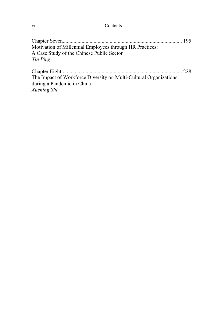vi Contents

| Motivation of Millennial Employees through HR Practices: |  |
|----------------------------------------------------------|--|
| A Case Study of the Chinese Public Sector                |  |
| Xin Ping                                                 |  |
|                                                          |  |
|                                                          |  |

The Impact of Workforce Diversity on Multi-Cultural Organizations during a Pandemic in China *Xuening Shi*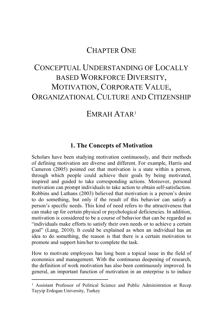# CHAPTER ONE

# CONCEPTUAL UNDERSTANDING OF LOCALLY BASED WORKFORCE DIVERSITY, MOTIVATION, CORPORATE VALUE, ORGANIZATIONAL CULTURE AND CITIZENSHIP

# <span id="page-6-0"></span>EMRAH ATAR[1](#page-6-0)

# **1. The Concepts of Motivation**

Scholars have been studying motivation continuously, and their methods of defining motivation are diverse and different. For example, Harris and Cameron (2005) pointed out that motivation is a state within a person, through which people could achieve their goals by being motivated, inspired and guided to take corresponding actions. Moreover, personal motivation can prompt individuals to take action to obtain self-satisfaction. Robbins and Luthans (2003) believed that motivation is a person's desire to do something, but only if the result of this behavior can satisfy a person's specific needs. This kind of need refers to the attractiveness that can make up for certain physical or psychological deficiencies. In addition, motivation is considered to be a course of behavior that can be regarded as "individuals make efforts to satisfy their own needs or to achieve a certain goal" (Lang, 2010). It could be explained as when an individual has an idea to do something, the reason is that there is a certain motivation to promote and support him/her to complete the task.

How to motivate employees has long been a topical issue in the field of economics and management. With the continuous deepening of research, the definition of work motivation has also been continuously improved. In general, an important function of motivation in an enterprise is to induce

<sup>&</sup>lt;sup>1</sup> Assistant Professor of Political Science and Public Administration at Recep Tayyip Erdogan University, Turkey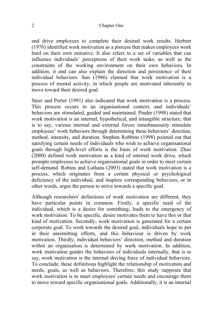#### 2 Chapter One

and drive employees to complete their desired work results. Herbert (1976) identified work motivation as a process that makes employees work hard on their own initiative. It also refers to a set of variables that can influence individuals' perceptions of their work tasks, as well as the constraints of the working environment on their own behaviors. In addition, it and can also explain the direction and persistence of their individual behaviors. Sun (1986) claimed that work motivation is a process of mental activity, in which people are motivated inherently to move toward their desired goal.

Steer and Porter (1991) also indicated that work motivation is a process. This process occurs in an organisational context, and individuals' behaviors are stimulated, guided and maintained. Pinder (1998) stated that work motivation is an internal, hypothetical, and intangible structure; that is to say, various internal and external forces simultaneously stimulate employees' work behaviors through determining these behaviors' direction, method, intensity, and duration. Stephen Robbins (1998) pointed out that satisfying certain needs of individuals who wish to achieve organisational goals through high-level efforts is the basis of work motivation. Zhao (2000) defined work motivation as a kind of internal work drive, which prompts employees to achieve organisational goals in order to meet certain self-demand. Robins and Luthans (2003) stated that work motivation is a process, which originates from a certain physical or psychological deficiency of the individual, and inspires corresponding behaviors, or in other words, urges the person to strive towards a specific goal.

Although researchers' definitions of work motivation are different, they have particular points in common. Firstly, a specific need of the individual, which is a desire for something, leads to the emergency of work motivation. To be specific, desire motivates them to have this or that kind of motivation. Secondly, work motivation is generated for a certain corporate goal. To work towards the desired goal, individuals hope to put in their unremitting efforts, and this behaviour is driven by work motivation. Thirdly, individual behaviors' direction, method and duration within an organisation is determined by work motivation. In addition, work motivation guides the behaviors of individuals internally, that is to say, work motivation is the internal driving force of individual behaviors. To conclude, these definitions highlight the relationship of motivation and needs, goals, as well as behaviors. Therefore, this study supposes that work motivation is to meet employees' certain needs and encourage them to move toward specific organisational goals. Additionally, it is an internal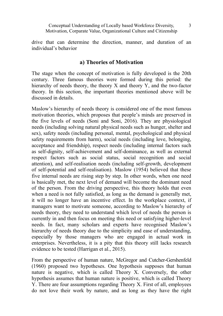drive that can determine the direction, manner, and duration of an individual's behavior

#### **a) Theories of Motivation**

The stage when the concept of motivation is fully developed is the 20th century. Three famous theories were formed during this period: the hierarchy of needs theory, the theory X and theory Y, and the two-factor theory. In this section, the important theories mentioned above will be discussed in details.

Maslow's hierarchy of needs theory is considered one of the most famous motivation theories, which proposes that people's minds are preserved in the five levels of needs (Soni and Soni, 2016). They are physiological needs (including solving natural physical needs such as hunger, shelter and sex), safety needs (including personal, mental, psychological and physical safety requirements from harm), social needs (including love, belonging, acceptance and friendship), respect needs (including internal factors such as self-dignity, self-achievement and self-dominance, as well as external respect factors such as social status, social recognition and social attention), and self-realisation needs (including self-growth, development of self-potential and self-realisation). Maslow (1954) believed that these five internal needs are rising step by step. In other words, when one need is basically met, the next level of demand will become the dominant need of the person. From the driving perspective, this theory holds that even when a need is not fully satisfied, as long as the demand is generally met. it will no longer have an incentive effect. In the workplace context, if managers want to motivate someone, according to Maslow's hierarchy of needs theory, they need to understand which level of needs the person is currently in and then focus on meeting this need or satisfying higher-level needs. In fact, many scholars and experts have recognised Maslow's hierarchy of needs theory due to the simplicity and ease of understanding, especially by those managers who are engaged in actual work in enterprises. Nevertheless, it is a pity that this theory still lacks research evidence to be tested (Harrigan et al., 2015).

From the perspective of human nature, McGregor and Cutcher-Gershenfeld (1960) proposed two hypotheses. One hypothesis supposes that human nature is negative, which is called Theory X. Conversely, the other hypothesis assumes that human nature is positive, which is called Theory Y. There are four assumptions regarding Theory X. First of all, employees do not love their work by nature, and as long as they have the right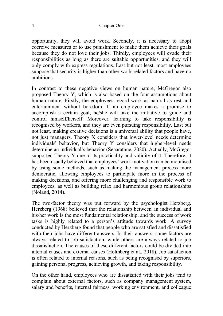#### 4 Chapter One

opportunity, they will avoid work. Secondly, it is necessary to adopt coercive measures or to use punishment to make them achieve their goals because they do not love their jobs. Thirdly, employees will evade their responsibilities as long as there are suitable opportunities, and they will only comply with express regulations. Last but not least, most employees suppose that security is higher than other work-related factors and have no ambitions.

In contrast to these negative views on human nature, McGregor also proposed Theory Y, which is also based on the four assumptions about human nature. Firstly, the employees regard work as natural as rest and entertainment without boredom. If an employee makes a promise to accomplish a certain goal, he/she will take the initiative to guide and control himself/herself. Moreover, learning to take responsibility is recognised by workers, and they are even pursuing responsibility. Last but not least, making creative decisions is a universal ability that people have, not just managers. Theory X considers that lower-level needs determine individuals' behavior, but Theory Y considers that higher-level needs determine an individual's behavior (Senarathne, 2020). Actually, McGregor supported Theory Y due to its practicality and validity of it. Therefore, it has been usually believed that employees' work motivation can be mobilised by using some methods, such as making the management process more democratic, allowing employees to participate more in the process of making decisions, and offering more challenging and responsible work to employees, as well as building relax and harmonious group relationships (Noland, 2014).

The two-factor theory was put forward by the psychologist Herzberg. Herzberg (1968) believed that the relationship between an individual and his/her work is the most fundamental relationship, and the success of work tasks is highly related to a person's attitude towards work. A survey conducted by Herzberg found that people who are satisfied and dissatisfied with their jobs have different answers. In their answers, some factors are always related to job satisfaction, while others are always related to job dissatisfaction. The causes of these different factors could be divided into internal causes and external causes (Holmberg et al., 2018). Job satisfaction is often related to internal reasons, such as being recognised by superiors, gaining personal progress, achieving growth, and taking responsibility.

On the other hand, employees who are dissatisfied with their jobs tend to complain about external factors, such as company management system, salary and benefits, internal fairness, working environment, and colleague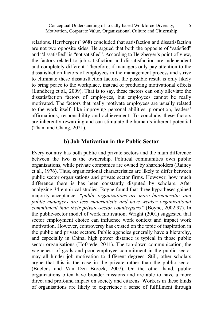relations. Herzberger (1968) concluded that satisfaction and dissatisfaction are not two opposite sides. He argued that both the opposite of "satisfied" and "dissatisfied" is "not satisfied". According to Herzberger's point of view, the factors related to job satisfaction and dissatisfaction are independent and completely different. Therefore, if managers only pay attention to the dissatisfaction factors of employees in the management process and strive to eliminate these dissatisfaction factors, the possible result is only likely to bring peace to the workplace, instead of producing motivational effects (Lundberg et al., 2009). That is to say, these factors can only alleviate the dissatisfaction factors of employees, but employees cannot be really motivated. The factors that really motivate employees are usually related to the work itself, like improving personal abilities, promotion, leaders' affirmations, responsibility and achievement. To conclude, these factors are inherently rewarding and can stimulate the human's inherent potential (Thant and Chang, 2021).

#### **b) Job Motivation in the Public Sector**

Every country has both public and private sectors and the main difference between the two is the ownership. Political communities own public organizations, while private companies are owned by shareholders (Rainey et al., 1976). Thus, organizational characteristics are likely to differ between public sector organisations and private sector firms. However, how much difference there is has been constantly disputed by scholars. After analyzing 34 empirical studies, Boyne found that three hypotheses gained majority acceptance: *"public organizations are more bureaucratic, and public managers are less materialistic and have weaker organizational commitment than their private-sector counterparts"* (Boyne, 2002:97). In the public-sector model of work motivation, Wright (2001) suggested that sector employment choice can influence work context and impact work motivation. However, controversy has existed on the topic of inspiration in the public and private sectors. Public agencies generally have a hierarchy, and especially in China, high power distance is typical in those public sector organisations (Hofstede, 2011). The top-down communication, the vagueness of goals and poor employee commitment in the public sector may all hinder job motivation to different degrees. Still, other scholars argue that this is the case in the private rather than the public sector (Buelens and Van Den Broeck, 2007). On the other hand, public organizations often have broader missions and are able to have a more direct and profound impact on society and citizens. Workers in these kinds of organisations are likely to experience a sense of fulfillment through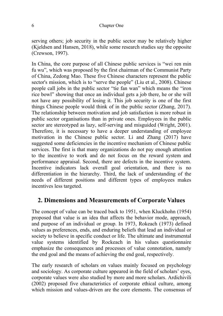serving others; job security in the public sector may be relatively higher (Kjeldsen and Hansen, 2018), while some research studies say the opposite (Crewson, 1997).

In China, the core purpose of all Chinese public services is "wei ren min fu wu", which was proposed by the first chairman of the Communist Party of China, Zedong Mao. These five Chinese characters represent the public sector's mission, which is to "serve the people" (Liu et al., 2008). Chinese people call jobs in the public sector "tie fan wan" which means the "iron rice bowl" showing that once an individual gets a job there, he or she will not have any possibility of losing it. This job security is one of the first things Chinese people would think of in the public sector (Zhang, 2017). The relationship between motivation and job satisfaction is more robust in public sector organisations than in private ones. Employees in the public sector are stereotyped as lazy, self-serving and misguided (Wright, 2001). Therefore, it is necessary to have a deeper understanding of employee motivation in the Chinese public sector. Li and Zhang (2017) have suggested some deficiencies in the incentive mechanism of Chinese public services. The first is that many organizations do not pay enough attention to the incentive to work and do not focus on the reward system and performance appraisal. Second, there are defects in the incentive system. Incentive indicators lack overall goal orientation, and there is no differentiation in the hierarchy. Third, the lack of understanding of the needs of different positions and different types of employees makes incentives less targeted.

# **2. Dimensions and Measurements of Corporate Values**

The concept of value can be traced back to 1951, when Kluckhohn (1954) proposed that value is an idea that affects the behavior mode, approach, and purpose of an individual or group. In 1973, Rokeach (1973) defined values as preferences, ends, and enduring beliefs that lead an individual or society to believe in specific conduct or life. The ultimate and instrumental value systems identified by Rockeach in his values questionnaire emphasize the consequences and processes of value connotation, namely the end goal and the means of achieving the end goal, respectively.

The early research of scholars on values mainly focused on psychology and sociology. As corporate culture appeared in the field of scholars' eyes, corporate values were also studied by more and more scholars. Ardichivili (2002) proposed five characteristics of corporate ethical culture, among which mission and values-driven are the core elements. The consensus of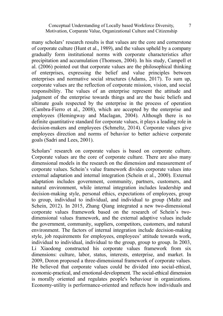many scholars' research results is that values are the core and cornerstone of corporate culture (Hunt et al., 1989), and the values upheld by a company gradually form institutional norms with corporate characteristics after precipitation and accumulation (Thomsen, 2004). In his study, Campell et al. (2006) pointed out that corporate values are the philosophical thinking of enterprises, expressing the belief and value principles between enterprises and normative social structures (Adams, 2017). To sum up, corporate values are the reflection of corporate mission, vision, and social responsibility. The values of an enterprise represent the attitude and judgment of the enterprise towards things and are the basic beliefs and ultimate goals respected by the enterprise in the process of operation (Cambra-Fierro et al., 2008), which are accepted by the enterprise and employees (Hemingway and Maclagan, 2004). Although there is no definite quantitative standard for corporate values, it plays a leading role in decision-makers and employees (Schmeltz, 2014). Corporate values give employees direction and norms of behavior to better achieve corporate goals (Sadri and Lees, 2001).

Scholars' research on corporate values is based on corporate culture. Corporate values are the core of corporate culture. There are also many dimensional models in the research on the dimension and measurement of corporate values. Schein's value framework divides corporate values into external adaptation and internal integration (Schein et al., 2000). External adaptation includes government, community, partners, customers, and natural environment, while internal integration includes leadership and decision-making style, personal ethics, expectations of employees, group to group, individual to individual, and individual to group (Maltz and Schein, 2012). In 2015, Zhang Qiang integrated a new two-dimensional corporate values framework based on the research of Schein's twodimensional values framework, and the external adaptive values include the government, community, suppliers, competitors, customers, and natural environment. The factors of internal integration include decision-making style, job requirements for employees, employees' attitude towards work, individual to individual, individual to the group, group to group. In 2003, Li Xiaodong constructed his corporate values framework from six dimensions: culture, labor, status, interests, enterprise, and market. In 2009, Doron proposed a three-dimensional framework of corporate values. He believed that corporate values could be divided into social-ethical, economic-practical, and emotional-development. The social-ethical dimension is morally oriented and regulates people's behaviour in organizations. Economy-utility is performance-oriented and reflects how individuals and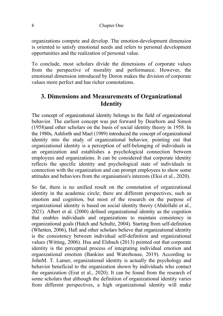organizations compete and develop. The emotion-development dimension is oriented to satisfy emotional needs and refers to personal development opportunities and the realization of personal value.

To conclude, most scholars divide the dimensions of corporate values from the perspective of morality and performance. However, the emotional dimension introduced by Doron makes the division of corporate values more perfect and has richer connotations.

# **3. Dimensions and Measurements of Organizational Identity**

The concept of organizational identity belongs to the field of organizational behavior. The earliest concept was put forward by Dearborn and Simon (1958)and other scholars on the basis of social identity theory in 1958. In the 1980s, Ashforth and Mael (1989) introduced the concept of organizational identity into the study of organizational behavior, pointing out that organizational identity is a perception of self-belonging of individuals in an organization and establishes a psychological connection between employees and organizations. It can be considered that corporate identity reflects the specific identity and psychological state of individuals in connection with the organization and can prompt employees to show some attitudes and behaviors from the organisation's interests (Eksi et al., 2020).

So far, there is no unified result on the connotation of organizational identity in the academic circle; there are different perspectives, such as emotion and cognition, but most of the research on the purpose of organizational identity is based on social identity theory (Abdollahi et al., 2021). Albert et al. (2000) defined organizational identity as the cognition that enables individuals and organizations to maintain consistency in organizational goals (Hatch and Schultz, 2004). Starting from self-definition (Whetten, 2006), Hall and other scholars believe that organizational identity is the consistency between individual self-definition and organizational values (Witting, 2006). Hsu and Elsbach (2013) pointed out that corporate identity is the perceptual process of integrating individual emotion and organizational emotion (Bankins and Waterhouse, 2019). According to JohnM. T. Lamer, organizational identity is actually the psychology and behavior beneficial to the organization shown by individuals who contact the organization (Erat et al., 2020). It can be found from the research of some scholars that although the definition of organizational identity varies from different perspectives, a high organizational identity will make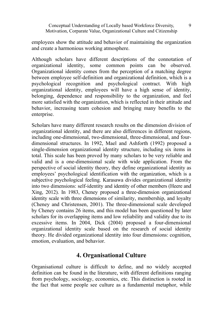employees show the attitude and behavior of maintaining the organization and create a harmonious working atmosphere.

Although scholars have different descriptions of the connotation of organizational identity, some common points can be observed. Organizational identity comes from the perception of a matching degree between employee self-definition and organizational definition, which is a psychological recognition and psychological contract. With high organizational identity, employees will have a high sense of identity, belonging, dependence and responsibility to the organization, and feel more satisfied with the organization, which is reflected in their attitude and behavior, increasing team cohesion and bringing many benefits to the enterprise.

Scholars have many different research results on the dimension division of organizational identity, and there are also differences in different regions, including one-dimensional, two-dimensional, three-dimensional, and fourdimensional structures. In 1992, Mael and Ashforth (1992) proposed a single-dimension organizational identity structure, including six items in total. This scale has been proved by many scholars to be very reliable and valid and is a one-dimensional scale with wide application. From the perspective of social identity theory, they define organizational identity as employees' psychological identification with the organization, which is a subjective psychological feeling. Karasawa divides organizational identity into two dimensions: self-identity and identity of other members (Heere and Xing, 2012). In 1983, Cheney proposed a three-dimension organizational identity scale with three dimensions of similarity, membership, and loyalty (Cheney and Christensen, 2001). The three-dimensional scale developed by Cheney contains 26 items, and this model has been questioned by later scholars for its overlapping items and low reliability and validity due to its excessive items. In 2004, Dick (2004) proposed a four-dimensional organizational identity scale based on the research of social identity theory. He divided organizational identity into four dimensions: cognition, emotion, evaluation, and behavior.

# **4. Organisational Culture**

Organisational culture is difficult to define, and no widely accepted definition can be found in the literature, with different definitions ranging from psychology, sociology, economics, etc. This distinction is rooted in the fact that some people see culture as a fundamental metaphor, while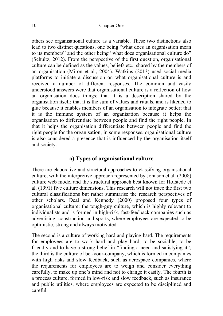others see organisational culture as a variable. These two distinctions also lead to two distinct questions, one being "what does an organisation mean to its members" and the other being "what does organisational culture do" (Schultz, 2012). From the perspective of the first question, organisational culture can be defined as the values, beliefs etc., shared by the members of an organisation (Miron et al., 2004). Watkins (2013) used social media platforms to initiate a discussion on what organisational culture is and received a number of different responses. The common and easily understood answers were that organisational culture is a reflection of how an organisation does things; that it is a description shared by the organisation itself; that it is the sum of values and rituals, and is likened to glue because it enables members of an organisation to integrate better; that it is the immune system of an organisation because it helps the organisation to differentiate between people and find the right people. In that it helps the organisation differentiate between people and find the right people for the organisation; in some responses, organisational culture is also considered a presence that is influenced by the organisation itself and society.

#### **a) Types of organisational culture**

There are elaborative and structural approaches to classifying organisational culture, with the interpretive approach represented by Johnson et al. (2008) culture web model and the structural approach best known for Hofstede et al. (1991) five culture dimensions. This research will not trace the first two cultural classifications but rather summarise the research perspectives of other scholars. Deal and Kennedy (2000) proposed four types of organisational culture: the tough-guy culture, which is highly relevant to individualists and is formed in high-risk, fast-feedback companies such as advertising, construction and sports, where employees are expected to be optimistic, strong and always motivated.

The second is a culture of working hard and playing hard. The requirements for employees are to work hard and play hard, to be sociable, to be friendly and to have a strong belief in "finding a need and satisfying it"; the third is the culture of bet-your-company, which is formed in companies with high risks and slow feedback, such as aerospace companies, where the requirements for employees are to weigh and consider everything carefully, to make up one's mind and not to change it easily. The fourth is a process culture, formed in low-risk and slow feedback, such as insurance and public utilities, where employees are expected to be disciplined and careful.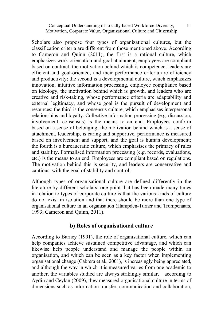Scholars also propose four types of organizational cultures, but the classification criteria are different from those mentioned above. According to Cameron and Quinn (2011), the first is a rational culture, which emphasizes work orientation and goal attainment, employees are compliant based on contract, the motivation behind which is competence, leaders are efficient and goal-oriented, and their performance criteria are efficiency and productivity; the second is a developmental culture, which emphasizes innovation, intuitive information processing, employee compliance based on ideology, the motivation behind which is growth, and leaders who are creative and risk-taking, whose performance criteria are adaptability and external legitimacy, and whose goal is the pursuit of development and resources; the third is the consensus culture, which emphasises interpersonal relationships and loyalty. Collective information processing (e.g. discussion, involvement, consensus) is the means to an end. Employees conform based on a sense of belonging, the motivation behind which is a sense of attachment, leadership, is caring and supportive, performance is measured based on involvement and support, and the goal is human development; the fourth is a bureaucratic culture, which emphasises the primacy of rules and stability. Formalised information processing (e.g. records, evaluations, etc.) is the means to an end. Employees are compliant based on regulations. The motivation behind this is security, and leaders are conservative and cautious, with the goal of stability and control.

Although types of organisational culture are defined differently in the literature by different scholars, one point that has been made many times in relation to types of corporate culture is that the various kinds of culture do not exist in isolation and that there should be more than one type of organisational culture in an organisation (Hampden-Turner and Trompenaars, 1993; Cameron and Quinn, 2011).

#### **b) Roles of organisational culture**

According to Barney (1991), the role of organisational culture, which can help companies achieve sustained competitive advantage, and which can likewise help people understand and manage the people within an organisation, and which can be seen as a key factor when implementing organisational change (Cabrera et al., 2001), is increasingly being appreciated, and although the way in which it is measured varies from one academic to another, the variables studied are always strikingly similar, according to Aydin and Ceylan (2009), they measured organisational culture in terms of dimensions such as information transfer, communication and collaboration,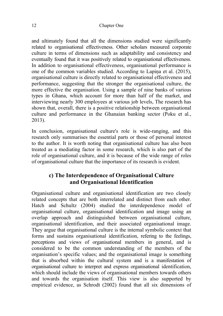#### 12 Chapter One

and ultimately found that all the dimensions studied were significantly related to organisational effectiveness. Other scholars measured corporate culture in terms of dimensions such as adaptability and consistency and eventually found that it was positively related to organisational effectiveness. In addition to organisational effectiveness, organisational performance is one of the common variables studied. According to Lapiņa et al. (2015), organisational culture is directly related to organisational effectiveness and performance, suggesting that the stronger the organisational culture, the more effective the organisation. Using a sample of nine banks of various types in Ghana, which account for more than half of the market, and interviewing nearly 300 employees at various job levels, The research has shown that, overall, there is a positive relationship between organisational culture and performance in the Ghanaian banking sector (Poku et al., 2013).

In conclusion, organisational culture's role is wide-ranging, and this research only summarises the essential parts or those of personal interest to the author. It is worth noting that organisational culture has also been treated as a mediating factor in some research, which is also part of the role of organisational culture, and it is because of the wide range of roles of organisational culture that the importance of its research is evident.

# **c) The Interdependence of Organisational Culture and Organisational Identification**

Organisational culture and organisational identification are two closely related concepts that are both interrelated and distinct from each other. Hatch and Schultz (2004) studied the interdependence model of organisational culture, organisational identification and image using an overlap approach and distinguished between organisational culture, organisational identification, and their associated organisational image. They argue that organisational culture is the internal symbolic context that forms and sustains organisational identification, refering to the feelings, perceptions and views of organisational members in general, and is considered to be the common understanding of the members of the organisation's specific values; and the organisational image is something that is absorbed within the cultural system and is a manifestation of organisational culture to interpret and express organisational identification, which should include the views of organisational members towards others and towards the organisation itself. This view is also supported by empirical evidence, as Schrodt (2002) found that all six dimensions of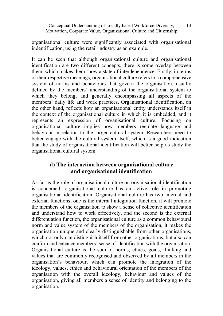organisational culture were significantly associated with organisational indentification, using the retail industry as an example.

It can be seen that although organisational culture and organisational identification are two different concepts, there is some overlap between them, which makes them show a state of interdependence. Firstly, in terms of their respective meanings, organisational culture refers to a comprehensive system of norms and behaviours that govern the organisation, usually defined by the members' understanding of the organisational system to which they belong, and generally encompassing all aspects of the members' daily life and work practices. Organisational identification, on the other hand, reflects how an organisational entity understands itself in the context of the organisational culture in which it is embedded, and it represents an expression of organisational culture. Focusing on organisational culture implies how members regulate language and behaviour in relation to the larger cultural system. Researchers need to better engage with the cultural system itself, which is a good indication that the study of organisational identification will better help us study the organisational cultural system.

# **d) The interaction between organisational culture and organisational identification**

As far as the role of organisational culture on organisational identification is concerned, organisational culture has an active role in promoting organisational identification. Organisational culture has two internal and external functions; one is the internal integration function, it will promote the members of the organisation to show a sense of collective identification and understand how to work effectively, and the second is the external differentiation function, the organisational culture as a common behavioural norm and value system of the members of the organisation, it makes the organisation unique and clearly distinguishable from other organisations, which not only can distinguish itself from other organisations, but also can confirm and enhance members' sense of identification with the organisation. Organisational culture is the sum of norms, ethics, goals, thinking and values that are commonly recognised and observed by all members in the organisation's behaviour, which can promote the integration of the ideology, values, ethics and behavioural orientation of the members of the organisation with the overall ideology, behaviour and values of the organisation, giving all members a sense of identity and belonging to the organisation.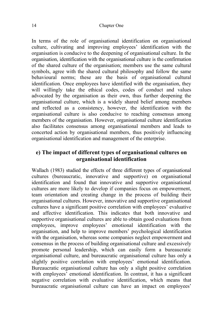In terms of the role of organisational identification on organisational culture, cultivating and improving employees' identification with the organisation is conducive to the deepening of organisational culture. In the organisation, identification with the organisational culture is the confirmation of the shared culture of the organisation; members use the same cultural symbols, agree with the shared cultural philosophy and follow the same behavioural norms; these are the basis of organisational cultural identification. Once employees have identified with the organisation, they will willingly take the ethical codes, codes of conduct and values advocated by the organisation as their own, thus further deepening the organisational culture, which is a widely shared belief among members and reflected as a consistency, however, the identification with the organisational culture is also conducive to reaching consensus among members of the organisation. However, organisational culture identification also facilitates consensus among organisational members and leads to concerted action by organisational members, thus positively influencing organisational identification and management of the enterprise.

### **e) The impact of different types of organisational cultures on organisational identification**

Wallach (1983) studied the effects of three different types of organisational cultures (bureaucratic, innovative and supportive) on organisational identification and found that innovative and supportive organisational cultures are more likely to develop if companies focus on empowerment, team orientation and creating change in the process of building their organisational cultures. However, innovative and supportive organisational cultures have a significant positive correlation with employees' evaluative and affective identification. This indicates that both innovative and supportive organisational cultures are able to obtain good evaluations from employees, improve employees' emotional identification with the organisation, and help to improve members' psychological identification with the organisation, whereas some companies neglect empowerment and consensus in the process of building organisational culture and excessively promote personal leadership, which can easily form a bureaucratic organisational culture, and bureaucratic organisational culture has only a slightly positive correlation with employees' emotional identification. Bureaucratic organisational culture has only a slight positive correlation with employees' emotional identification. In contrast, it has a significant negative correlation with evaluative identification, which means that bureaucratic organisational culture can have an impact on employees'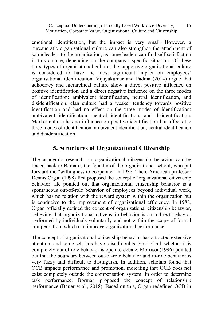emotional identification, but the impact is very small. However, a bureaucratic organisational culture can also strengthen the attachment of some leaders to the organisation, as some leaders can find self-satisfaction in this culture, depending on the company's specific situation. Of these three types of organisational culture, the supportive organisational culture is considered to have the most significant impact on employees' organisational identification. Vijayakumar and Padma (2014) argue that adhocracy and hierarchical culture show a direct positive influence on positive identification and a direct negative influence on the three modes of identification: ambivalent identification, neutral identification, and disidentification; clan culture had a weaker tendency towards positive identification and had no effect on the three modes of identification: ambivalent identification, neutral identification, and disidentification. Market culture has no influence on positive identification but affects the three modes of identification: ambivalent identification, neutral identification and disidentification.

# **5. Structures of Organizational Citizenship**

The academic research on organizational citizenship behavior can be traced back to Bamard, the founder of the organizational school, who put forward the "willingness to cooperate" in 1938. Then, American professor Dennis Organ (1998) first proposed the concept of organizational citizenship behavior. He pointed out that organizational citizenship behavior is a spontaneous out-of-role behavior of employees beyond individual work, which has no relation with the reward system within the organization but is conducive to the improvement of organizational efficiency. In 1988, Organ officially defined the concept of organizational citizenship behavior, believing that organizational citizenship behavior is an indirect behavior performed by individuals voluntarily and not within the scope of formal compensation, which can improve organizational performance.

The concept of organizational citizenship behavior has attracted extensive attention, and some scholars have raised doubts. First of all, whether it is completely out of role behavior is open to debate. Morrison(1996) pointed out that the boundary between out-of-role behavior and in-role behavior is very fuzzy and difficult to distinguish. In addition, scholars found that OCB impacts performance and promotion, indicating that OCB does not exist completely outside the compensation system. In order to determine task performance, Borman proposed the concept of relationship performance (Bauer et al., 2018). Based on this, Organ redefined OCB in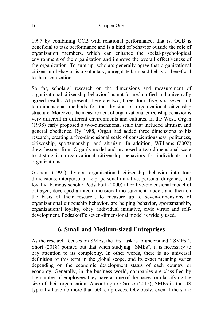#### 16 Chapter One

1997 by combining OCB with relational performance; that is, OCB is beneficial to task performance and is a kind of behavior outside the role of organization members, which can enhance the social-psychological environment of the organization and improve the overall effectiveness of the organization. To sum up, scholars generally agree that organizational citizenship behavior is a voluntary, unregulated, unpaid behavior beneficial to the organization.

So far, scholars' research on the dimensions and measurement of organizational citizenship behavior has not formed unified and universally agreed results. At present, there are two, three, four, five, six, seven and ten-dimensional methods for the division of organizational citizenship structure. Moreover, the measurement of organizational citizenship behavior is very different in different environments and cultures. In the West, Organ (1998) early proposed a two-dimensional scale that included altruism and general obedience. By 1988, Organ had added three dimensions to his research, creating a five-dimensional scale of conscientiousness, politeness, citizenship, sportsmanship, and altruism. In addition, Williams (2002) drew lessons from Organ's model and proposed a two-dimensional scale to distinguish organizational citizenship behaviors for individuals and organizations.

Graham (1991) divided organizational citizenship behavior into four dimensions: interpersonal help, personal initiative, personal diligence, and loyalty. Famous scholar Podsakoff (2000) after five-dimensional model of outraged, developed a three-dimensional measurement model, and then on the basis of their research, to measure up to seven-dimensions of organizational citizenship behavior, are helping behavior, sportsmanship, organizational loyalty, obey, individual initiative, civic virtue and selfdevelopment. Podsakoff's seven-dimensional model is widely used.

# **6. Small and Medium-sized Entreprises**

As the research focuses on SMEs, the first task is to understand " SMEs ". Short (2018) pointed out that when studying "SMEs", it is necessary to pay attention to its complexity. In other words, there is no universal definition of this term in the global scope, and its exact meaning varies depending on the economic development status of each country or economy. Generally, in the business world, companies are classified by the number of employees they have as one of the bases for classifying the size of their organisation. According to Caruso (2015), SMEs in the US typically have no more than 500 employees. Obviously, even if the same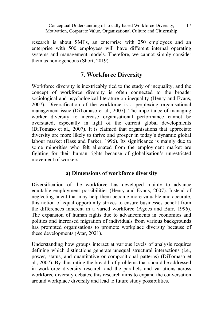research is about SMEs, an enterprise with 250 employees and an enterprise with 500 employees will have different internal operating systems and management models. Therefore, we cannot simply consider them as homogeneous (Short, 2019).

# **7. Workforce Diversity**

Workforce diversity is inextricably tied to the study of inequality, and the concept of workforce diversity is often connected to the broader sociological and psychological literature on inequality (Henry and Evans, 2007). Diversification of the workforce is a perplexing organisational management issue (DiTomaso et al., 2007). The importance of managing worker diversity to increase organisational performance cannot be overstated, especially in light of the current global developments (DiTomaso et al., 2007). It is claimed that organisations that appreciate diversity are more likely to thrive and prosper in today's dynamic global labour market (Dass and Parker, 1996). Its significance is mainly due to some minorities who felt alienated from the employment market are fighting for their human rights because of globalisation's unrestricted movement of workers.

# **a) Dimensions of workforce diversity**

Diversification of the workforce has developed mainly to advance equitable employment possibilities (Henry and Evans, 2007). Instead of neglecting talent that may help them become more valuable and accurate, this notion of equal opportunity strives to ensure businesses benefit from the differences inherent in a varied workforce (Agocs and Burr, 1996). The expansion of human rights due to advancements in economics and politics and increased migration of individuals from various backgrounds has prompted organisations to promote workplace diversity because of these developments (Atar, 2021).

Understanding how groups interact at various levels of analysis requires defining which distinctions generate unequal structural interactions (i.e., power, status, and quantitative or compositional patterns) (DiTomaso et al., 2007). By illustrating the breadth of problems that should be addressed in workforce diversity research and the parallels and variations across workforce diversity debates, this research aims to expand the conversation around workplace diversity and lead to future study possibilities.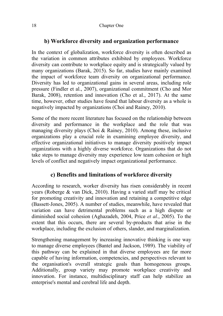# **b) Workforce diversity and organization performance**

In the context of globalization, workforce diversity is often described as the variation in common attributes exhibited by employees. Workforce diversity can contribute to workplace equity and is strategically valued by many organizations (Barak, 2015). So far, studies have mainly examined the impact of workforce team diversity on organizational performance. Diversity has led to organizational gains in several areas, including role pressure (Findler et al., 2007), organizational commitment (Cho and Mor Barak, 2008), retention and innovation (Cho et al., 2017). At the same time, however, other studies have found that labour diversity as a whole is negatively impacted by organizations (Choi and Rainey, 2010).

Some of the more recent literature has focused on the relationship between diversity and performance in the workplace and the role that was managing diversity plays (Choi & Rainey, 2010). Among these, inclusive organizations play a crucial role in examining employee diversity, and effective organizational initiatives to manage diversity positively impact organizations with a highly diverse workforce. Organizations that do not take steps to manage diversity may experience low team cohesion or high levels of conflict and negatively impact organizational performance.

# **c) Benefits and limitations of workforce diversity**

According to research, worker diversity has risen considerably in recent years (Roberge & van Dick, 2010). Having a varied staff may be critical for promoting creativity and innovation and retaining a competitive edge (Bassett-Jones, 2005). A number of studies, meanwhile, have revealed that variation can have detrimental problems such as a high dispute or diminished social cohesion (Aghazadeh, 2004, Price *et al.*, 2005). To the extent that this occurs, there are several by-products that arise in the workplace, including the exclusion of others, slander, and marginalization.

Strengthening management by increasing innovative thinking is one way to manage diverse employees (Bantel and Jackson, 1989). The viability of this pathway can be explained in that diverse employees are far more capable of having information, competencies, and perspectives relevant to the organisation's overall strategic goals than homogenous groups. Additionally, group variety may promote workplace creativity and innovation. For instance, multidisciplinary staff can help stabilize an enterprise's mental and cerebral life and depth.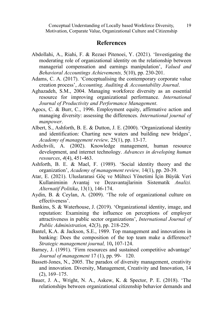#### **References**

- Abdollahi, A., Riahi, F. & Rezaei Pitenoei, Y. (2021). 'Investigating the moderating role of organizational identity on the relationship between managerial compensation and earnings manipulation', *Valued and Behavioral Accountings Achievements,* 5(10), pp. 230-201.
- Adams, C. A. (2017). 'Conceptualising the contemporary corporate value creation process', *Accounting, Auditing & Accountability Journal*.
- Aghazadeh, S.M., 2004. Managing workforce diversity as an essential resource for improving organizational performance. *International Journal of Productivity and Performance Management*.
- Agocs, C. & Burr, C., 1996. Employment equity, affirmative action and managing diversity: assessing the differences. *International journal of manpower*.
- Albert, S., Ashforth, B. E. & Dutton, J. E. (2000). 'Organizational identity and identification: Charting new waters and building new bridges', *Academy of management review,* 25(1), pp. 13-17.
- Ardichvili, A. (2002). Knowledge management, human resource development, and internet technology. *Advances in developing human resources*, *4*(4), 451-463.
- Ashforth, B. E. & Mael, F. (1989). 'Social identity theory and the organization', *Academy of management review,* 14(1), pp. 20-39.
- Atar, E. (2021). Uluslararasi Göç ve Mülteci Yönetimi İçin Büyük Veri Kullaniminin Avantaj ve Dezavantajlarinin Sistematik *Analizi. Alternatif Politika*, 13(1), 146-174.
- Aydin, B. & Ceylan, A. (2009). 'The role of organizational culture on effectiveness'.
- Bankins, S. & Waterhouse, J. (2019). 'Organizational identity, image, and reputation: Examining the influence on perceptions of employer attractiveness in public sector organizations', *International Journal of Public Administration,* 42(3), pp. 218-229.
- Bantel, K.A. & Jackson, S.E., 1989. Top management and innovations in banking: Does the composition of the top team make a difference? *Strategic management journal,* 10**,** 107-124.
- Barney, J. (1991). 'Firm resources and sustained competitive advantage' *Journal of management* 17 (1), pp. 99- 120.
- Bassett-Jones, N., 2005. The paradox of diversity management, creativity and innovation. Diversity, Management, Creativity and Innovation, 14 (2), 169–175.
- Bauer, J. A., Wright, N. A., Askew, K. & Spector, P. E. (2018). 'The relationships between organizational citizenship behavior demands and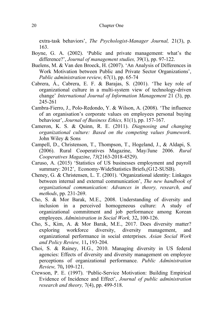#### 20 Chapter One

extra-task behaviors', *The Psychologist-Manager Journal,* 21(3), p. 163.

- Boyne, G. A. (2002). 'Public and private management: what's the difference?', *Journal of management studies,* 39(1), pp. 97-122.
- Buelens, M. & Van den Broeck, H. (2007). 'An Analysis of Differences in Work Motivation between Public and Private Sector Organizations', *Public administration review,* 67(1), pp. 65-74
- Cabrera, Á., Cabrera, E. F. & Barajas, S. (2001). 'The key role of organizational culture in a multi-system view of technology-driven change' *International Journal of Information Management* 21 (3), pp. 245-261
- Cambra-Fierro, J., Polo-Redondo, Y. & Wilson, A. (2008). 'The influence of an organisation's corporate values on employees personal buying behaviour', *Journal of Business Ethics,* 81(1), pp. 157-167.
- Cameron, K. S. & Quinn, R. E. (2011). *Diagnosing and changing organizational culture: Based on the competing values framework*. John Wiley & Sons
- Campell, D., Christenson, T., Thompson, T., Hogeland, J., & Aldapi, S. (2006). Rural Cooperatives Magazine, May/June 2006. *Rural Cooperatives Magazine*, *73*(2163-2018-4529).
- Caruso, A. (2015) 'Statistics of US businesses employment and payroll summary: 2012', Economy-WideStatistics Briefs, (G12-SUSB).
- Cheney, G. & Christensen, L. T. (2001). 'Organizational identity: Linkages between internal and external communication', *The new handbook of organizational communication: Advances in theory, research, and methods*, pp. 231-269.
- Cho, S. & Mor Barak, M.E., 2008. Understanding of diversity and inclusion in a perceived homogeneous culture: A study of organizational commitment and job performance among Korean employees. *Administration in Social Work,* 32**,** 100-126.
- Cho, S., Kim, A. & Mor Barak, M.E., 2017. Does diversity matter? exploring workforce diversity, diversity management, and organizational performance in social enterprises. *Asian Social Work and Policy Review,* 11**,** 193-204.
- Choi, S. & Rainey, H.G., 2010. Managing diversity in US federal agencies: Effects of diversity and diversity management on employee perceptions of organizational performance. *Public Administration Review,* 70**,** 109-121.
- Crewson, P. E. (1997). 'Public-Service Motivation: Building Empirical Evidence of Incidence and Effect', *Journal of public administration research and theory,* 7(4), pp. 499-518.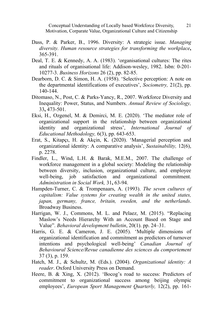- Dass, P. & Parker, B., 1996. Diversity: A strategic issue. *Managing diversity. Human resource strategies for transforming the workplace***,** 365-391.
- Deal, T. E. & Kennedy, A. A. (1983). 'organisational cultures: The rites and rituals of organisational life: Addison-wesley, 1982. Isbn: 0-201- 10277-3. *Business Horizons* 26 (2), pp. 82-85.
- Dearborn, D. C. & Simon, H. A. (1958). 'Selective perception: A note on the departmental identifications of executives', *Sociometry,* 21(2), pp. 140-144.
- Ditomaso, N., Post, C. & Parks-Yancy, R., 2007. Workforce Diversity and Inequality: Power, Status, and Numbers. *Annual Review of Sociology,* 33**,** 473-501.
- Eksi, H., Ozgenel, M. & Demirci, M. E. (2020). 'The mediator role of organizational support in the relationship between organizational identity and organizational stress', *International Journal of Educational Methodology,* 6(3), pp. 643-653.
- Erat, S., Kitapçı, H. & Akçin, K. (2020). 'Managerial perception and organizational identity: A comparative analysis', *Sustainability,* 12(6), p. 2278.
- Findler, L., Wind, L.H. & Barak, M.E.M., 2007. The challenge of workforce management in a global society: Modeling the relationship between diversity, inclusion, organizational culture, and employee well-being, job satisfaction and organizational commitment. *Administration in Social Work,* 31**,** 63-94.
- Hampden-Turner, C. & Trompenaars, A. (1993). *The seven cultures of capitalism: Value systems for creating wealth in the united states, japan, germany, france, britain, sweden, and the netherlands*. Broadway Business.
- Harrigan, W. J., Commons, M. L. and Pelaez, M. (2015). "Replacing Maslow's Needs Hierarchy With an Account Based on Stage and Value". *Behavioral development bulletin*, 20(1). pp. 24–31.
- Harris, G. E. & Cameron, J. E. (2005). 'Multiple dimensions of organizational identification and commitment as predictors of turnover intentions and psychological well-being' *Canadian Journal of Behavioural Science/Revue canadienne des sciences du comportement* 37 (3), p. 159.
- Hatch, M. J., & Schultz, M. (Eds.). (2004). *Organizational identity: A reader*. Oxford University Press on Demand.
- Heere, B. & Xing, X. (2012). 'Bocog's road to success: Predictors of commitment to organizational success among beijing olympic employees', *European Sport Management Quarterly,* 12(2), pp. 161-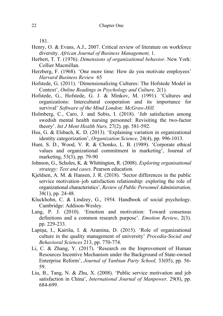181.

- Henry, O. & Evans, A.J., 2007. Critical review of literature on workforce diversity. *African Journal of Business Management,* 1.
- Herbert, T. T. (1976). *Dimensions of organizational behavior*. New York: Collier Macmillan.
- Herzberg, F. (1968). 'One more time: How do you motivate employees' *Harvard Business Review* 65
- Hofstede, G. (2011). 'Dimensionalizing Cultures: The Hofstede Model in Context', *Online Readings in Psychology and Culture,* 2(1).
- Hofstede, G., Hofstede, G. J. & Minkov, M. (1991). 'Cultures and organizations: Intercultural cooperation and its importance for survival' *Software of the Mind London: McGraw-Hill.*
- Holmberg, C., Caro, J. and Sobis, I. (2018). 'Job satisfaction among swedish mental health nursing personnel: Revisiting the two-factor theory'. *Int J Ment Health Nurs,* 27(2). pp. 581-592.
- Hsu, G. & Elsbach, K. D. (2013). 'Explaining variation in organizational identity categorization', *Organization Science,* 24(4), pp. 996-1013.
- Hunt, S. D., Wood, V. R. & Chonko, L. B. (1989). 'Corporate ethical values and organizational commitment in marketing', Journal of marketing, 53(3), pp. 79-90
- Johnson, G., Scholes, K. & Whittington, R. (2008). *Exploring organisational strategy: Text and cases*. Pearson education.
- Kjeldsen, A. M. & Hansen, J. R. (2018). 'Sector differences in the public service motivation–job satisfaction relationship: exploring the role of organizational characteristics', *Review of Public Personnel Administration,* 38(1), pp. 24-48.
- Kluckhohn, C. & Lindzey, G., 1954. Handbook of social psychology. Cambridge: Addison-Wesley.
- Lang, P. J. (2010). 'Emotion and motivation: Toward consensus definitions and a common research purpose'. *Emotion Review*, 2(3). pp. 229-233.
- Lapina, I., Kairiša, I. & Aramina, D. (2015). 'Role of organizational culture in the quality management of university' *Procedia-Social and Behavioral Sciences* 213, pp. 770-774.
- Li, C. & Zhang, Y. (2017). 'Research on the Improvement of Human Resources Incentive Mechanism under the Background of State-owned Enterprise Reform', *Journal of Yanbian Party School,* 33(05), pp. 56- 59.
- Liu, B., Tang, N. & Zhu, X. (2008). 'Public service motivation and job satisfaction in China', *International Journal of Manpower,* 29(8), pp. 684-699.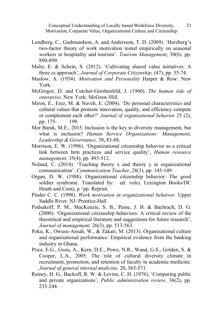- Lundberg, C., Gudmundson, A. and Andersson, T. D. (2009). 'Herzberg's two-factor theory of work motivation tested empirically on seasonal workers in hospitality and tourism'. *Tourism Management*, 30(6). pp. 890-899.
- Maltz, E. & Schein, S. (2012). 'Cultivating shared value initiatives: A three cs approach', *Journal of Corporate Citizenship,* (47), pp. 55-74.
- Maslow, A. (1954). *Motivation and Personality* Harper & Row: New York.
- McGregor, D. and Cutcher-Gershenfeld, J. (1960). *The human side of enterprise*. New York: McGraw-Hill.
- Miron, E., Erez, M. & Naveh, E. (2004). 'Do personal characteristics and cultural values that promote innovation, quality, and efficiency compete or complement each other?' *Journal of organizational behavior* 25 (2), pp. 175- 199.
- Mor Barak, M.E., 2015. Inclusion is the key to diversity management, but what is inclusion? *Human Service Organizations: Management, Leadership & Governance,* 39**,** 83-88.
- Morrison, E. W. (1996). 'Organizational citizenship behavior as a critical link between hrm practices and service quality', *Human resource management,* 35(4), pp. 493-512.
- Noland, C. (2014). 'Teaching theory x and theory y in organizational communication'. *Communication Teacher*, 28(3). pp. 145-149.
- Organ, D. W. (1988). Organizational citizenship behavior: The good soldier syndrome. Translated by: ed. vols). Lexington Books/DC Heath and Com), p.^pp. Reprint.
- Pinder C. C. (1998). *Work motivation in organizational behaivor*. Upper Saddle River. NJ: Prentice-Hall
- Podsakoff, P. M., MacKenzie, S. B., Paine, J. B. & Bachrach, D. G. (2000). 'Organizational citizenship behaviors: A critical review of the theoretical and empirical literature and suggestions for future research', *Journal of management,* 26(3), pp. 513-563.
- Poku, K., Owusu-Ansah, W., & Zakari, M. (2013). Organizational culture and organisational performance: Empirical evidence from the banking industry in Ghana.
- Price, E.G., Gozu, A., Kern, D.E., Powe, N.R., Wand, G.S., Golden, S. & Cooper, L.A., 2005. The role of cultural diversity climate in recruitment, promotion, and retention of faculty in academic medicine. *Journal of general internal medicine,* 20**,** 565-571.
- Rainey, H. G., Backoff, R. W. & Levine, C. H. (1976). 'Comparing public and private organizations', *Public administration review,* 36(2), pp. 233-244.